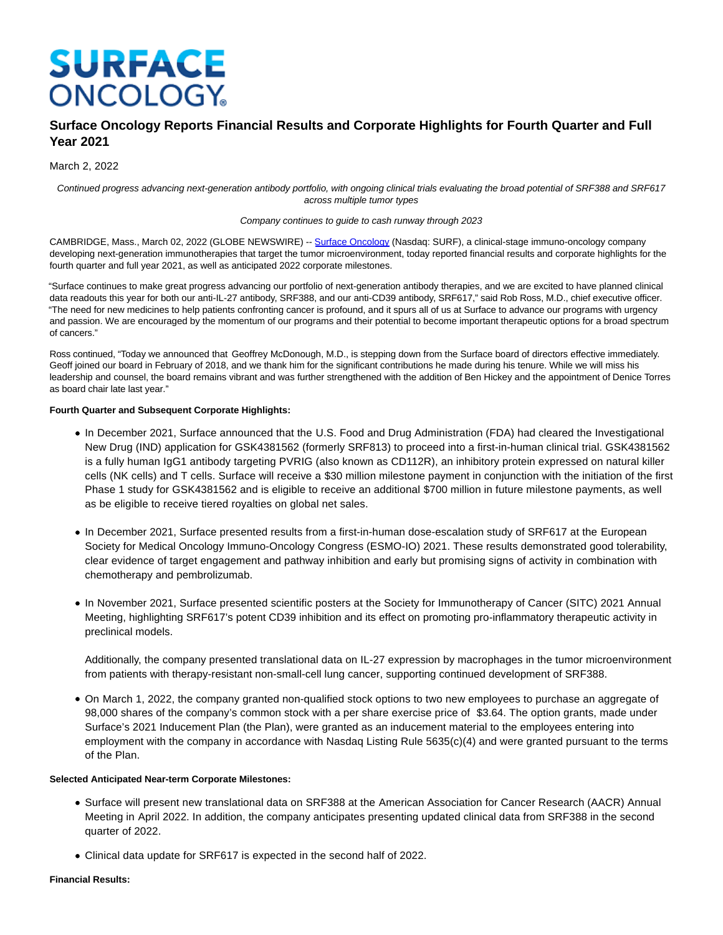# **SURFACE ONCOLOGY**

# **Surface Oncology Reports Financial Results and Corporate Highlights for Fourth Quarter and Full Year 2021**

# March 2, 2022

Continued progress advancing next-generation antibody portfolio, with ongoing clinical trials evaluating the broad potential of SRF388 and SRF617 across multiple tumor types

#### Company continues to guide to cash runway through 2023

CAMBRIDGE, Mass., March 02, 2022 (GLOBE NEWSWIRE) -[- Surface Oncology \(](https://www.globenewswire.com/Tracker?data=b7gItTTKkm6B22yESoU4eEZwxbCgpcTIZ4kOBQ015C9_x-1zYiVAu4ij8gFxnYJOWmkH2w7aE8dGuCzdbZ7-Mr3xIP2yZHVGXTrwnFTxcnk=)Nasdaq: SURF), a clinical-stage immuno-oncology company developing next-generation immunotherapies that target the tumor microenvironment, today reported financial results and corporate highlights for the fourth quarter and full year 2021, as well as anticipated 2022 corporate milestones.

"Surface continues to make great progress advancing our portfolio of next-generation antibody therapies, and we are excited to have planned clinical data readouts this year for both our anti-IL-27 antibody, SRF388, and our anti-CD39 antibody, SRF617," said Rob Ross, M.D., chief executive officer. "The need for new medicines to help patients confronting cancer is profound, and it spurs all of us at Surface to advance our programs with urgency and passion. We are encouraged by the momentum of our programs and their potential to become important therapeutic options for a broad spectrum of cancers."

Ross continued, "Today we announced that Geoffrey McDonough, M.D., is stepping down from the Surface board of directors effective immediately. Geoff joined our board in February of 2018, and we thank him for the significant contributions he made during his tenure. While we will miss his leadership and counsel, the board remains vibrant and was further strengthened with the addition of Ben Hickey and the appointment of Denice Torres as board chair late last year."

## **Fourth Quarter and Subsequent Corporate Highlights:**

- In December 2021, Surface announced that the U.S. Food and Drug Administration (FDA) had cleared the Investigational New Drug (IND) application for GSK4381562 (formerly SRF813) to proceed into a first-in-human clinical trial. GSK4381562 is a fully human IgG1 antibody targeting PVRIG (also known as CD112R), an inhibitory protein expressed on natural killer cells (NK cells) and T cells. Surface will receive a \$30 million milestone payment in conjunction with the initiation of the first Phase 1 study for GSK4381562 and is eligible to receive an additional \$700 million in future milestone payments, as well as be eligible to receive tiered royalties on global net sales.
- In December 2021, Surface presented results from a first-in-human dose-escalation study of SRF617 at the European Society for Medical Oncology Immuno-Oncology Congress (ESMO-IO) 2021. These results demonstrated good tolerability, clear evidence of target engagement and pathway inhibition and early but promising signs of activity in combination with chemotherapy and pembrolizumab.
- In November 2021, Surface presented scientific posters at the Society for Immunotherapy of Cancer (SITC) 2021 Annual Meeting, highlighting SRF617's potent CD39 inhibition and its effect on promoting pro-inflammatory therapeutic activity in preclinical models.

Additionally, the company presented translational data on IL-27 expression by macrophages in the tumor microenvironment from patients with therapy-resistant non-small-cell lung cancer, supporting continued development of SRF388.

On March 1, 2022, the company granted non-qualified stock options to two new employees to purchase an aggregate of 98,000 shares of the company's common stock with a per share exercise price of \$3.64. The option grants, made under Surface's 2021 Inducement Plan (the Plan), were granted as an inducement material to the employees entering into employment with the company in accordance with Nasdaq Listing Rule 5635(c)(4) and were granted pursuant to the terms of the Plan.

# **Selected Anticipated Near-term Corporate Milestones:**

- Surface will present new translational data on SRF388 at the American Association for Cancer Research (AACR) Annual Meeting in April 2022. In addition, the company anticipates presenting updated clinical data from SRF388 in the second quarter of 2022.
- Clinical data update for SRF617 is expected in the second half of 2022.

## **Financial Results:**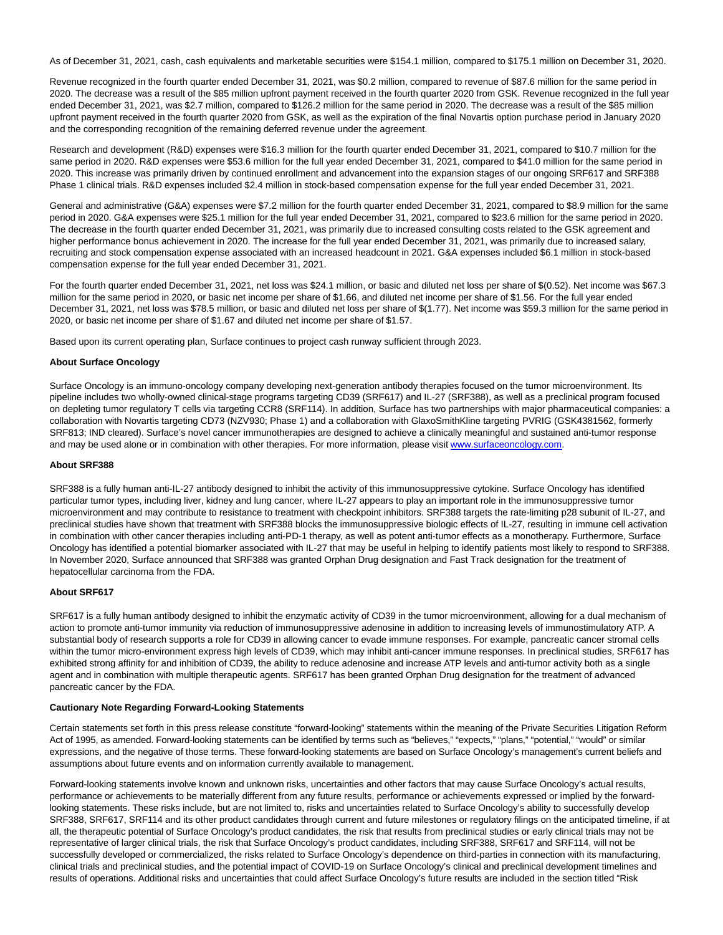As of December 31, 2021, cash, cash equivalents and marketable securities were \$154.1 million, compared to \$175.1 million on December 31, 2020.

Revenue recognized in the fourth quarter ended December 31, 2021, was \$0.2 million, compared to revenue of \$87.6 million for the same period in 2020. The decrease was a result of the \$85 million upfront payment received in the fourth quarter 2020 from GSK. Revenue recognized in the full year ended December 31, 2021, was \$2.7 million, compared to \$126.2 million for the same period in 2020. The decrease was a result of the \$85 million upfront payment received in the fourth quarter 2020 from GSK, as well as the expiration of the final Novartis option purchase period in January 2020 and the corresponding recognition of the remaining deferred revenue under the agreement.

Research and development (R&D) expenses were \$16.3 million for the fourth quarter ended December 31, 2021, compared to \$10.7 million for the same period in 2020. R&D expenses were \$53.6 million for the full year ended December 31, 2021, compared to \$41.0 million for the same period in 2020. This increase was primarily driven by continued enrollment and advancement into the expansion stages of our ongoing SRF617 and SRF388 Phase 1 clinical trials. R&D expenses included \$2.4 million in stock-based compensation expense for the full year ended December 31, 2021.

General and administrative (G&A) expenses were \$7.2 million for the fourth quarter ended December 31, 2021, compared to \$8.9 million for the same period in 2020. G&A expenses were \$25.1 million for the full year ended December 31, 2021, compared to \$23.6 million for the same period in 2020. The decrease in the fourth quarter ended December 31, 2021, was primarily due to increased consulting costs related to the GSK agreement and higher performance bonus achievement in 2020. The increase for the full year ended December 31, 2021, was primarily due to increased salary, recruiting and stock compensation expense associated with an increased headcount in 2021. G&A expenses included \$6.1 million in stock-based compensation expense for the full year ended December 31, 2021.

For the fourth quarter ended December 31, 2021, net loss was \$24.1 million, or basic and diluted net loss per share of \$(0.52). Net income was \$67.3 million for the same period in 2020, or basic net income per share of \$1.66, and diluted net income per share of \$1.56. For the full year ended December 31, 2021, net loss was \$78.5 million, or basic and diluted net loss per share of \$(1.77). Net income was \$59.3 million for the same period in 2020, or basic net income per share of \$1.67 and diluted net income per share of \$1.57.

Based upon its current operating plan, Surface continues to project cash runway sufficient through 2023.

# **About Surface Oncology**

Surface Oncology is an immuno-oncology company developing next-generation antibody therapies focused on the tumor microenvironment. Its pipeline includes two wholly-owned clinical-stage programs targeting CD39 (SRF617) and IL-27 (SRF388), as well as a preclinical program focused on depleting tumor regulatory T cells via targeting CCR8 (SRF114). In addition, Surface has two partnerships with major pharmaceutical companies: a collaboration with Novartis targeting CD73 (NZV930; Phase 1) and a collaboration with GlaxoSmithKline targeting PVRIG (GSK4381562, formerly SRF813; IND cleared). Surface's novel cancer immunotherapies are designed to achieve a clinically meaningful and sustained anti-tumor response and may be used alone or in combination with other therapies. For more information, please visit [www.surfaceoncology.com.](https://www.globenewswire.com/Tracker?data=hP0ZeQYpbOQZAeQFnJJMEFbK3vsNnw1OXZUp7fb0ibeFVSRyB29N_8BdXiLlVIgu5gbK4iHsHOJjGfr5IHdBGnENAMxQeMDo2GnmroTGhOg=)

#### **About SRF388**

SRF388 is a fully human anti-IL-27 antibody designed to inhibit the activity of this immunosuppressive cytokine. Surface Oncology has identified particular tumor types, including liver, kidney and lung cancer, where IL-27 appears to play an important role in the immunosuppressive tumor microenvironment and may contribute to resistance to treatment with checkpoint inhibitors. SRF388 targets the rate-limiting p28 subunit of IL-27, and preclinical studies have shown that treatment with SRF388 blocks the immunosuppressive biologic effects of IL-27, resulting in immune cell activation in combination with other cancer therapies including anti-PD-1 therapy, as well as potent anti-tumor effects as a monotherapy. Furthermore, Surface Oncology has identified a potential biomarker associated with IL-27 that may be useful in helping to identify patients most likely to respond to SRF388. In November 2020, Surface announced that SRF388 was granted Orphan Drug designation and Fast Track designation for the treatment of hepatocellular carcinoma from the FDA.

#### **About SRF617**

SRF617 is a fully human antibody designed to inhibit the enzymatic activity of CD39 in the tumor microenvironment, allowing for a dual mechanism of action to promote anti-tumor immunity via reduction of immunosuppressive adenosine in addition to increasing levels of immunostimulatory ATP. A substantial body of research supports a role for CD39 in allowing cancer to evade immune responses. For example, pancreatic cancer stromal cells within the tumor micro-environment express high levels of CD39, which may inhibit anti-cancer immune responses. In preclinical studies, SRF617 has exhibited strong affinity for and inhibition of CD39, the ability to reduce adenosine and increase ATP levels and anti-tumor activity both as a single agent and in combination with multiple therapeutic agents. SRF617 has been granted Orphan Drug designation for the treatment of advanced pancreatic cancer by the FDA.

#### **Cautionary Note Regarding Forward-Looking Statements**

Certain statements set forth in this press release constitute "forward-looking" statements within the meaning of the Private Securities Litigation Reform Act of 1995, as amended. Forward-looking statements can be identified by terms such as "believes," "expects," "plans," "potential," "would" or similar expressions, and the negative of those terms. These forward-looking statements are based on Surface Oncology's management's current beliefs and assumptions about future events and on information currently available to management.

Forward-looking statements involve known and unknown risks, uncertainties and other factors that may cause Surface Oncology's actual results, performance or achievements to be materially different from any future results, performance or achievements expressed or implied by the forwardlooking statements. These risks include, but are not limited to, risks and uncertainties related to Surface Oncology's ability to successfully develop SRF388, SRF617, SRF114 and its other product candidates through current and future milestones or regulatory filings on the anticipated timeline, if at all, the therapeutic potential of Surface Oncology's product candidates, the risk that results from preclinical studies or early clinical trials may not be representative of larger clinical trials, the risk that Surface Oncology's product candidates, including SRF388, SRF617 and SRF114, will not be successfully developed or commercialized, the risks related to Surface Oncology's dependence on third-parties in connection with its manufacturing, clinical trials and preclinical studies, and the potential impact of COVID-19 on Surface Oncology's clinical and preclinical development timelines and results of operations. Additional risks and uncertainties that could affect Surface Oncology's future results are included in the section titled "Risk